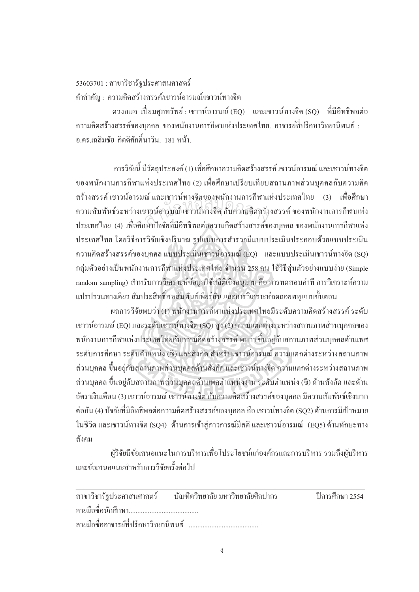## $53603701$  : สาขาวิชารัฐประศาสนศาสตร์ คำสำคัญ : ความคิดสร้างสรรค์/เชาวน์อารมณ์/เชาวน์ทางจิต

ควงกมล เปี่ยมศุภทรัพย์ : เชาวน์อารมณ์ (EQ) และเชาวน์ทางจิต (SQ) ที่มีอิทธิพลต่อ ความคิดสร้างสรรค์ของบุคคล ของพนักงานการกีฬาแห่งประเทศไทย. อาจารย์ที่ปรึกษาวิทยานิพนธ์ : ิ อ ดร เฉลิมชัย กิตติศักดิ์บาวิบ 181 หน้า

การวิจัยนี้ มีวัตถุประสงค์ (1) เพื่อศึกษาความคิดสร้างสรรค์ เชาวน์อารมณ์ และเชาวน์ทางจิต ºÉ ของพนักงานการกีฬาแห่งประเทศไทย (2) เพื่อศึกษาเปรียบเทียบสถานภาพส่วนบุคคลกับความคิด สร้างสรรค์ เชาวน์อารมณ์ และเชาวน์ทางจิตของพนักงานการกีฬาแห่งประเทศไทย (3) เพื่อศึกษา l<br>
<sub>i</sub> ความสัมพันธ์ระหว่างเชาวน์อารมณ์ เชาวน์ทางจิต กับความคิดสร้างสรรค์ ของพนักงานการกีฬาแห่ง ประเทศไทย (4) เพื่อศึกษาปัจจัยที่มีอิทธิพลต่อความคิดสร้างสรรค์ของบุคคล ของพนักงานการกีฬาแห่ง ประเทศไทย โดยวิธีการวิจัยเชิงปริมาณ รูปแบบการสำรวจมีแบบประเมินประกอบด้วยแบบประเมิน ความคิดสร้างสรรค์ของบุคคล แบบประเมินเชาวน์อารมณ์ (EQ) และแบบประเมินเชาวน์ทางจิต (SQ) ึกลุ่มตัวอย่างเป็นพนักงานการกีฬาแห่งประเทศไทย จำนวน 258 คน ใช้วิธีสุ่มตัวอย่างแบบง่าย (Simple random sampling) สำหรับการวิเคราะห์ข้อมูลใช้สถิติเชิงอนมาน คือ การทดสอบค่าที่ การวิเคราะห์ความ แปรปรวนทางเดียว สัมประสิทธิ์สหสัมพันธ์เพียร์สัน และการวิเคราะห์ถดถอยพหุแบบขั้นตอน สำนกัหอส<sup>ม</sup> ุดกลา<sup>ง</sup>

ผลการวิจัยพบว่า (1) พนักงานการกีฬาแห่งประเทศไทยมีระดับความคิดสร้างสรรค์ ระดับ เชาวน์อารมณ์ (EQ) และระดับเชาวน์ทางจิต (SQ) สูง (2) ความแตกต่างระหว่างสถานภาพส่วนบุคคลของ ำพนักงานการกีฬาแห่งประเทศไทยกับความคิดสร้างสรรค์ พบว่า ขึ้นอย่กับสถานภาพส่วนบคคลด้านเพศ ระดับการศึกษา ระดับตำแหน่ง (ซี) และสังกัด สำหรับเชาวน์อารมณ์ ความแตกต่างระหว่างสถานภาพ ส่วนบุคคล ขึ้นอยู่กับสถานภาพส่วนบุคคลด้านสังกัด และเชาวน์ทางจิต ความแตกต่างระหว่างสถานภาพ ส่วนบุคคล ขึ้นอยู่กับสถานภาพส่วนบุคคลด้านเพศตำแหน่งงาน ระดับตำแหน่ง (ซี) ด้านสังกัด และด้าน ื้อัตราเงินเดือน (3) เชาวน์อารมณ์ เชาวน์ทางจิต กับความคิดสร้างสรรค์ของบคคล มีความสัมพันธ์เชิงบวก ้ ต่อกัน (4) ปัจจัยที่มีอิทธิพลต่อความคิดสร้างสรรค์ของบคคล คือ เชาวน์ทางจิต (SO2) ด้านการมีเป้าหมาย ในชีวิต และเชาวน์ทางจิต (SQ4) ด้านการเข้าสู่ภาวการณ์มีสติ และเชาวน์อารมณ์ (EQ5) ด้านทักษะทาง ้สังคม

ผู้วิจัยมีข้อเสนอแนะในการบริหารเพื่อโประโยชน์แก่องค์กรและการบริหาร รวมถึงผู้บริหาร ้และข้อเสบอแบะสำหรับการวิจัยครั้งต่อไป

|                                        | ี่ สาขาวิชารัฐประศาสนศาสตร์ บัณฑิตวิทยาลัย มหาวิทยาลัยศิลปากร | ์ ปีการศึกษา 2554 |
|----------------------------------------|---------------------------------------------------------------|-------------------|
|                                        |                                                               |                   |
| ิลายมือชื่ออาจารย์ที่ปรึกษาวิทยานิพนธ์ |                                                               |                   |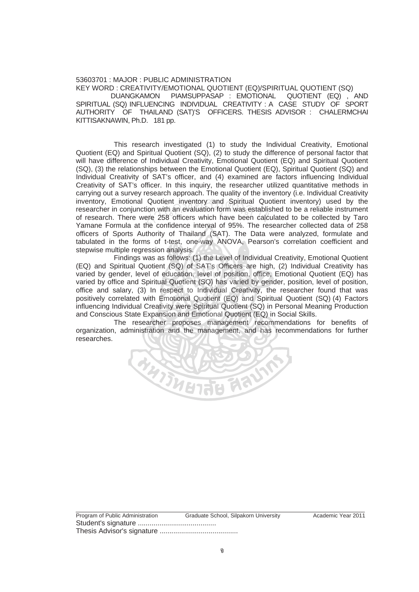## 53603701 : MAJOR : PUBLIC ADMINISTRATION

KEY WORD : CREATIVITY/EMOTIONAL QUOTIENT (EQ)/SPIRITUAL QUOTIENT (SQ) DUANGKAMON PIAMSUPPASAP : EMOTIONAL QUOTIENT (EQ) , AND SPIRITUAL (SQ) INFLUENCING INDIVIDUAL CREATIVITY : A CASE STUDY OF SPORT AUTHORITY OF THAILAND (SAT)'S OFFICERS. THESIS ADVISOR : CHALERMCHAI KITTISAKNAWIN, Ph.D. 181 pp.

This research investigated (1) to study the Individual Creativity, Emotional Quotient (EQ) and Spiritual Quotient (SQ), (2) to study the difference of personal factor that will have difference of Individual Creativity, Emotional Quotient (EQ) and Spiritual Quotient (SQ), (3) the relationships between the Emotional Quotient (EQ), Spiritual Quotient (SQ) and Individual Creativity of SAT's officer, and (4) examined are factors influencing Individual Creativity of SAT's officer. In this inquiry, the researcher utilized quantitative methods in carrying out a survey research approach. The quality of the inventory (i.e. Individual Creativity inventory, Emotional Quotient inventory and Spiritual Quotient inventory) used by the researcher in conjunction with an evaluation form was established to be a reliable instrument of research. There were 258 officers which have been calculated to be collected by Taro Yamane Formula at the confidence interval of 95%. The researcher collected data of 258 officers of Sports Authority of Thailand (SAT). The Data were analyzed, formulate and tabulated in the forms of t-test, one-way ANOVA, Pearson's correlation coefficient and stepwise multiple regression analysis. Quotient inventory and Spiritual Quotion with an evaluation form was establistic<br>refer 258 officers which have been calculation form was establistic<br>the confidence interval of 95%. The ref

Findings was as follows: (1) the Level of Individual Creativity, Emotional Quotient (EQ) and Spiritual Quotient (SQ) of SAT's Officers are high, (2) Individual Creativity has varied by gender, level of education, level of position, office, Emotional Quotient (EQ) has varied by office and Spiritual Quotient (SQ) has varied by gender, position, level of position, office and salary, (3) In respect to Individual Creativity, the researcher found that was positively correlated with Emotional Quotient (EQ) and Spiritual Quotient (SQ) (4) Factors influencing Individual Creativity were Spiritual Quotient (SQ) in Personal Meaning Production and Conscious State Expansion and Emotional Quotient (EQ) in Social Skills.

The researcher proposes management recommendations for benefits of organization, administration and the management, and has recommendations for further researches.



Program of Public Administration Graduate School, Silpakorn University Academic Year 2011 Student's signature ........................................ Thesis Advisor's signature ........................................